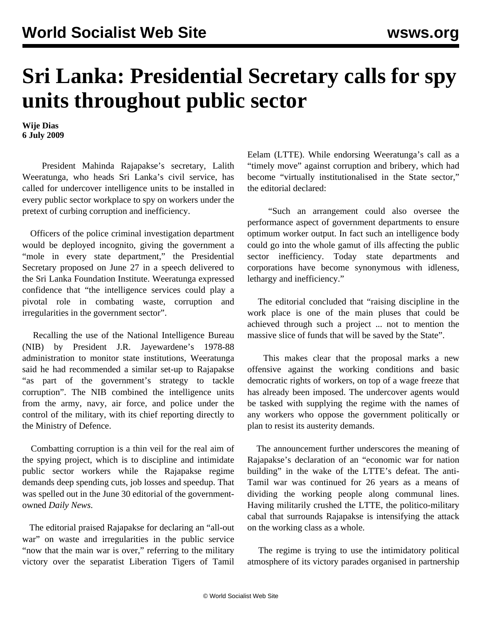## **Sri Lanka: Presidential Secretary calls for spy units throughout public sector**

**Wije Dias 6 July 2009**

 President Mahinda Rajapakse's secretary, Lalith Weeratunga, who heads Sri Lanka's civil service, has called for undercover intelligence units to be installed in every public sector workplace to spy on workers under the pretext of curbing corruption and inefficiency.

 Officers of the police criminal investigation department would be deployed incognito, giving the government a "mole in every state department," the Presidential Secretary proposed on June 27 in a speech delivered to the Sri Lanka Foundation Institute. Weeratunga expressed confidence that "the intelligence services could play a pivotal role in combating waste, corruption and irregularities in the government sector".

 Recalling the use of the National Intelligence Bureau (NIB) by President J.R. Jayewardene's 1978-88 administration to monitor state institutions, Weeratunga said he had recommended a similar set-up to Rajapakse "as part of the government's strategy to tackle corruption". The NIB combined the intelligence units from the army, navy, air force, and police under the control of the military, with its chief reporting directly to the Ministry of Defence.

 Combatting corruption is a thin veil for the real aim of the spying project, which is to discipline and intimidate public sector workers while the Rajapakse regime demands deep spending cuts, job losses and speedup. That was spelled out in the June 30 editorial of the governmentowned *Daily News*.

 The editorial praised Rajapakse for declaring an "all-out war" on waste and irregularities in the public service "now that the main war is over," referring to the military victory over the separatist Liberation Tigers of Tamil

Eelam (LTTE). While endorsing Weeratunga's call as a "timely move" against corruption and bribery, which had become "virtually institutionalised in the State sector," the editorial declared:

 "Such an arrangement could also oversee the performance aspect of government departments to ensure optimum worker output. In fact such an intelligence body could go into the whole gamut of ills affecting the public sector inefficiency. Today state departments and corporations have become synonymous with idleness, lethargy and inefficiency."

 The editorial concluded that "raising discipline in the work place is one of the main pluses that could be achieved through such a project ... not to mention the massive slice of funds that will be saved by the State".

 This makes clear that the proposal marks a new offensive against the working conditions and basic democratic rights of workers, on top of a wage freeze that has already been imposed. The undercover agents would be tasked with supplying the regime with the names of any workers who oppose the government politically or plan to resist its austerity demands.

 The announcement further underscores the meaning of Rajapakse's declaration of an "economic war for nation building" in the wake of the LTTE's defeat. The anti-Tamil war was continued for 26 years as a means of dividing the working people along communal lines. Having militarily crushed the LTTE, the politico-military cabal that surrounds Rajapakse is intensifying the attack on the working class as a whole.

 The regime is trying to use the intimidatory political atmosphere of its victory parades organised in partnership